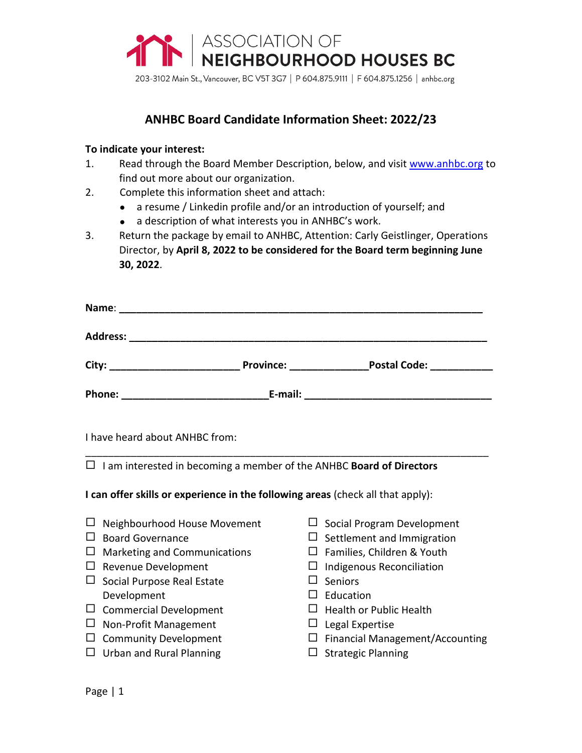

203-3102 Main St., Vancouver, BC V5T 3G7 | P 604.875.9111 | F 604.875.1256 | anhbc.org

# **ANHBC Board Candidate Information Sheet: 2022/23**

#### **To indicate your interest:**

- 1. Read through the Board Member Description, below, and visit [www.anhbc.org](http://www.anhbc.org/) to find out more about our organization.
- 2. Complete this information sheet and attach:
	- a resume / Linkedin profile and/or an introduction of yourself; and
	- a description of what interests you in ANHBC's work.
- 3. Return the package by email to ANHBC, Attention: Carly Geistlinger, Operations Director, by **April 8, 2022 to be considered for the Board term beginning June 30, 2022**.

| Name:           |                  |                     |  |
|-----------------|------------------|---------------------|--|
| <b>Address:</b> |                  |                     |  |
| City:           | <b>Province:</b> | <b>Postal Code:</b> |  |
| <b>Phone:</b>   | E-mail:          |                     |  |

\_\_\_\_\_\_\_\_\_\_\_\_\_\_\_\_\_\_\_\_\_\_\_\_\_\_\_\_\_\_\_\_\_\_\_\_\_\_\_\_\_\_\_\_\_\_\_\_\_\_\_\_\_\_\_\_\_\_\_\_\_\_\_\_\_\_\_\_\_\_\_

I have heard about ANHBC from:

I am interested in becoming a member of the ANHBC **Board of Directors**

**I can offer skills or experience in the following areas** (check all that apply):

- $\Box$  Neighbourhood House Movement
- $\Box$  Board Governance
- $\Box$  Marketing and Communications
- $\Box$  Revenue Development
- $\square$  Social Purpose Real Estate Development
- $\square$  Commercial Development
- $\Box$  Non-Profit Management
- $\square$  Community Development
- $\Box$  Urban and Rural Planning
- $\Box$  Social Program Development
- $\Box$  Settlement and Immigration
- $\Box$  Families, Children & Youth
- $\Box$  Indigenous Reconciliation
- $\square$  Seniors
- $\Box$  Education
- $\Box$  Health or Public Health
- $\Box$  Legal Expertise
- $\Box$  Financial Management/Accounting
- $\square$  Strategic Planning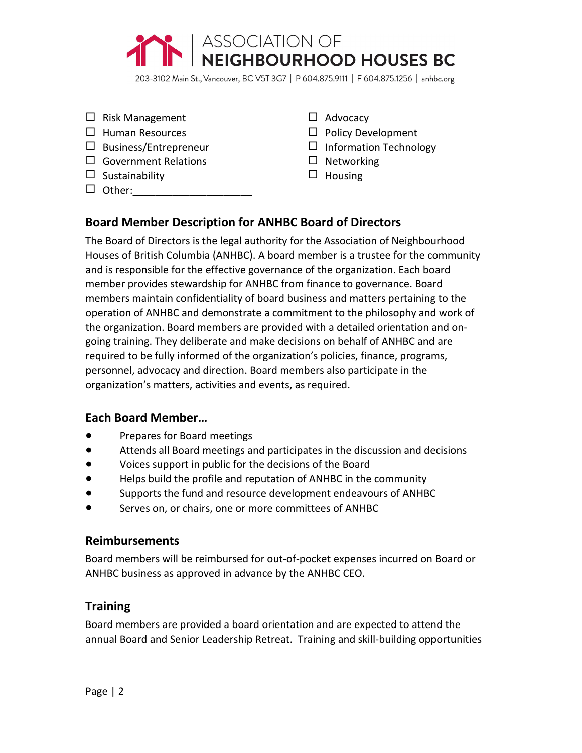

203-3102 Main St., Vancouver, BC V5T 3G7 | P 604.875.9111 | F 604.875.1256 | anhbc.org

- $\Box$  Risk Management
- $\Box$  Human Resources
- $\Box$  Business/Entrepreneur
- □ Government Relations
- $\square$  Sustainability
- $\Box$  Other:
- $\Box$  Advocacy
- $\square$  Policy Development
- $\Box$  Information Technology
- $\square$  Networking
- $\Box$  Housing

## **Board Member Description for ANHBC Board of Directors**

The Board of Directors is the legal authority for the Association of Neighbourhood Houses of British Columbia (ANHBC). A board member is a trustee for the community and is responsible for the effective governance of the organization. Each board member provides stewardship for ANHBC from finance to governance. Board members maintain confidentiality of board business and matters pertaining to the operation of ANHBC and demonstrate a commitment to the philosophy and work of the organization. Board members are provided with a detailed orientation and ongoing training. They deliberate and make decisions on behalf of ANHBC and are required to be fully informed of the organization's policies, finance, programs, personnel, advocacy and direction. Board members also participate in the organization's matters, activities and events, as required.

### **Each Board Member…**

- Prepares for Board meetings
- Attends all Board meetings and participates in the discussion and decisions
- Voices support in public for the decisions of the Board
- Helps build the profile and reputation of ANHBC in the community
- Supports the fund and resource development endeavours of ANHBC
- Serves on, or chairs, one or more committees of ANHBC

### **Reimbursements**

Board members will be reimbursed for out-of-pocket expenses incurred on Board or ANHBC business as approved in advance by the ANHBC CEO.

## **Training**

Board members are provided a board orientation and are expected to attend the annual Board and Senior Leadership Retreat. Training and skill-building opportunities